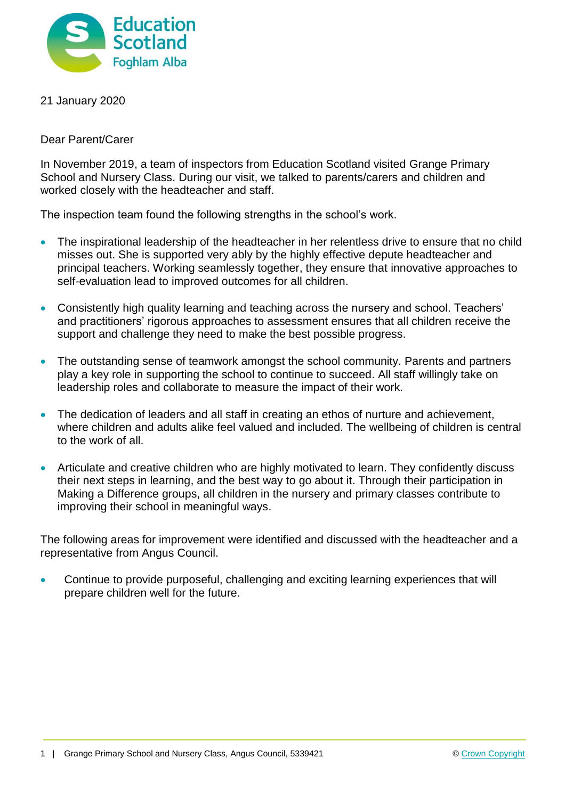

21 January 2020

Dear Parent/Carer

In November 2019, a team of inspectors from Education Scotland visited Grange Primary School and Nursery Class. During our visit, we talked to parents/carers and children and worked closely with the headteacher and staff.

The inspection team found the following strengths in the school's work.

- The inspirational leadership of the headteacher in her relentless drive to ensure that no child misses out. She is supported very ably by the highly effective depute headteacher and principal teachers. Working seamlessly together, they ensure that innovative approaches to self-evaluation lead to improved outcomes for all children.
- Consistently high quality learning and teaching across the nursery and school. Teachers' and practitioners' rigorous approaches to assessment ensures that all children receive the support and challenge they need to make the best possible progress.
- The outstanding sense of teamwork amongst the school community. Parents and partners play a key role in supporting the school to continue to succeed. All staff willingly take on leadership roles and collaborate to measure the impact of their work.
- The dedication of leaders and all staff in creating an ethos of nurture and achievement, where children and adults alike feel valued and included. The wellbeing of children is central to the work of all.
- Articulate and creative children who are highly motivated to learn. They confidently discuss their next steps in learning, and the best way to go about it. Through their participation in Making a Difference groups, all children in the nursery and primary classes contribute to improving their school in meaningful ways.

The following areas for improvement were identified and discussed with the headteacher and a representative from Angus Council.

 Continue to provide purposeful, challenging and exciting learning experiences that will prepare children well for the future.